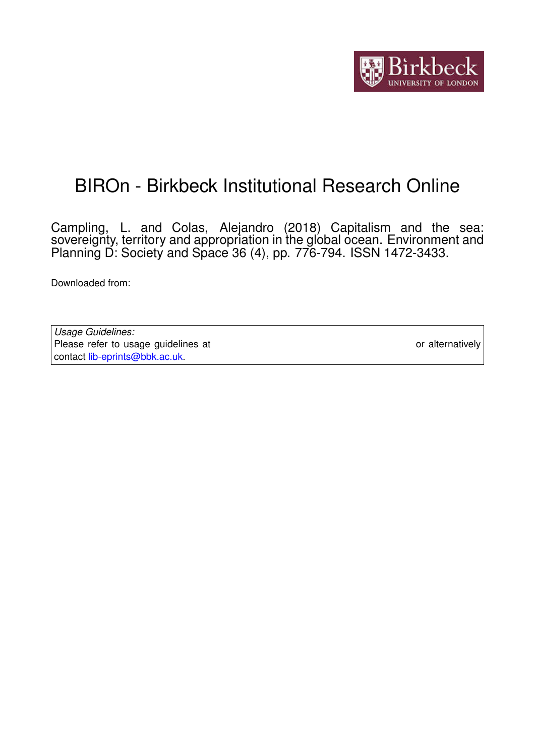

# BIROn - Birkbeck Institutional Research Online

Campling, L. and Colas, Alejandro (2018) Capitalism and the sea: sovereignty, territory and appropriation in the global ocean. Environment and Planning D: Society and Space 36 (4), pp. 776-794. ISSN 1472-3433.

Downloaded from: <https://eprints.bbk.ac.uk/id/eprint/19796/>

*Usage Guidelines:* Please refer to usage guidelines at <https://eprints.bbk.ac.uk/policies.html> or alternatively contact [lib-eprints@bbk.ac.uk.](mailto:lib-eprints@bbk.ac.uk)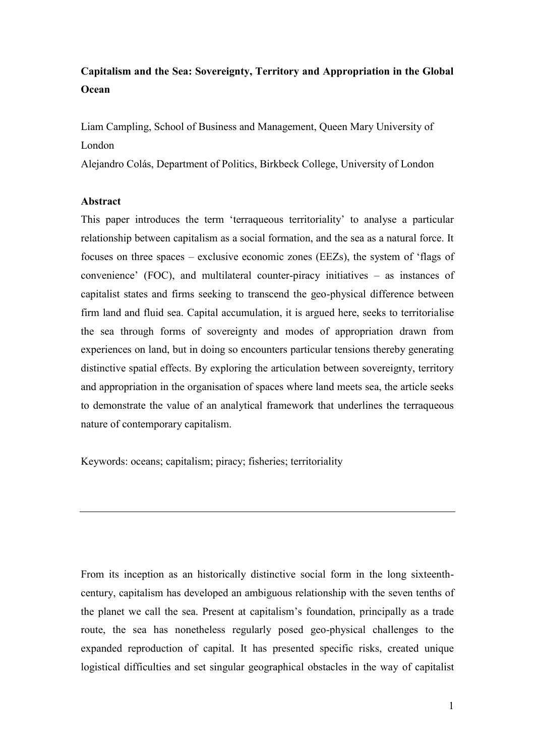### **Capitalism and the Sea: Sovereignty, Territory and Appropriation in the Global Ocean**

Liam Campling, School of Business and Management, Queen Mary University of London

Alejandro Colás, Department of Politics, Birkbeck College, University of London

#### **Abstract**

This paper introduces the term 'terraqueous territoriality' to analyse a particular relationship between capitalism as a social formation, and the sea as a natural force. It focuses on three spaces – exclusive economic zones (EEZs), the system of 'flags of convenience' (FOC), and multilateral counter-piracy initiatives – as instances of capitalist states and firms seeking to transcend the geo-physical difference between firm land and fluid sea. Capital accumulation, it is argued here, seeks to territorialise the sea through forms of sovereignty and modes of appropriation drawn from experiences on land, but in doing so encounters particular tensions thereby generating distinctive spatial effects. By exploring the articulation between sovereignty, territory and appropriation in the organisation of spaces where land meets sea, the article seeks to demonstrate the value of an analytical framework that underlines the terraqueous nature of contemporary capitalism.

Keywords: oceans; capitalism; piracy; fisheries; territoriality

From its inception as an historically distinctive social form in the long sixteenthcentury, capitalism has developed an ambiguous relationship with the seven tenths of the planet we call the sea. Present at capitalism's foundation, principally as a trade route, the sea has nonetheless regularly posed geo-physical challenges to the expanded reproduction of capital. It has presented specific risks, created unique logistical difficulties and set singular geographical obstacles in the way of capitalist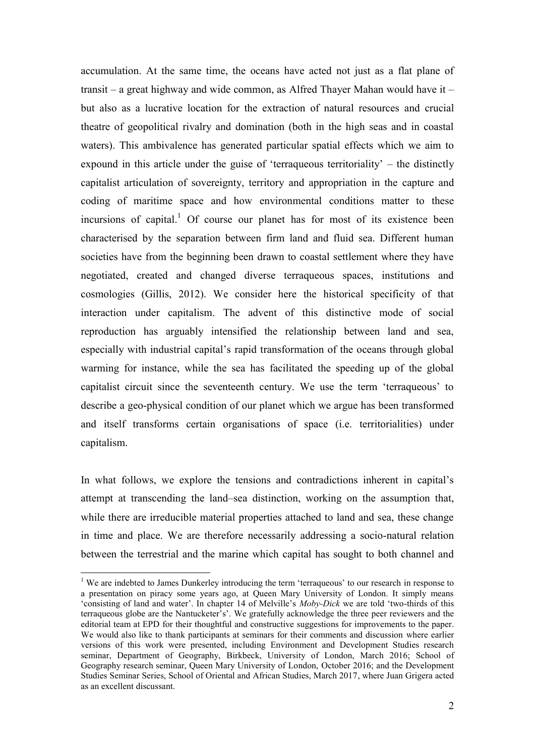accumulation. At the same time, the oceans have acted not just as a flat plane of transit – a great highway and wide common, as Alfred Thayer Mahan would have it – but also as a lucrative location for the extraction of natural resources and crucial theatre of geopolitical rivalry and domination (both in the high seas and in coastal waters). This ambivalence has generated particular spatial effects which we aim to expound in this article under the guise of 'terraqueous territoriality' – the distinctly capitalist articulation of sovereignty, territory and appropriation in the capture and coding of maritime space and how environmental conditions matter to these incursions of capital.<sup>1</sup> Of course our planet has for most of its existence been characterised by the separation between firm land and fluid sea. Different human societies have from the beginning been drawn to coastal settlement where they have negotiated, created and changed diverse terraqueous spaces, institutions and cosmologies (Gillis, 2012). We consider here the historical specificity of that interaction under capitalism. The advent of this distinctive mode of social reproduction has arguably intensified the relationship between land and sea, especially with industrial capital's rapid transformation of the oceans through global warming for instance, while the sea has facilitated the speeding up of the global capitalist circuit since the seventeenth century. We use the term 'terraqueous' to describe a geo-physical condition of our planet which we argue has been transformed and itself transforms certain organisations of space (i.e. territorialities) under capitalism.

In what follows, we explore the tensions and contradictions inherent in capital's attempt at transcending the land–sea distinction, working on the assumption that, while there are irreducible material properties attached to land and sea, these change in time and place. We are therefore necessarily addressing a socio-natural relation between the terrestrial and the marine which capital has sought to both channel and

<u>.</u>

<sup>&</sup>lt;sup>1</sup> We are indebted to James Dunkerley introducing the term 'terraqueous' to our research in response to a presentation on piracy some years ago, at Queen Mary University of London. It simply means 'consisting of land and water'. In chapter 14 of Melville's *Moby-Dick* we are told 'two-thirds of this terraqueous globe are the Nantucketer's'. We gratefully acknowledge the three peer reviewers and the editorial team at EPD for their thoughtful and constructive suggestions for improvements to the paper. We would also like to thank participants at seminars for their comments and discussion where earlier versions of this work were presented, including Environment and Development Studies research seminar, Department of Geography, Birkbeck, University of London, March 2016; School of Geography research seminar, Queen Mary University of London, October 2016; and the Development Studies Seminar Series, School of Oriental and African Studies, March 2017, where Juan Grigera acted as an excellent discussant.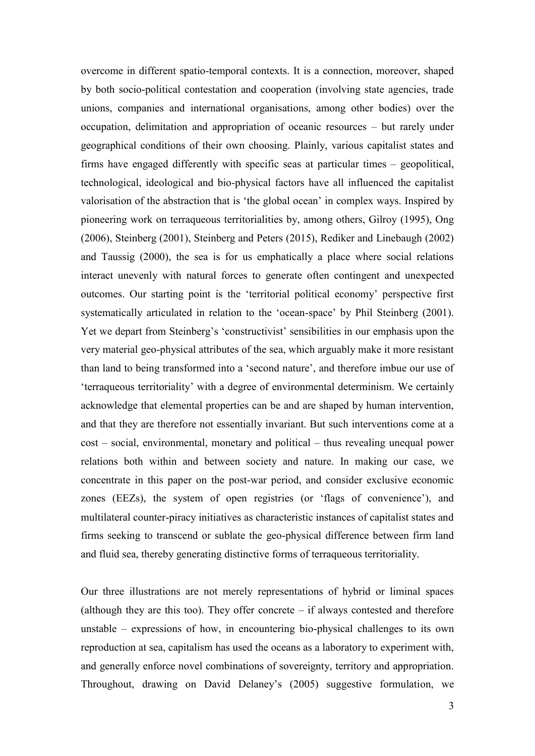overcome in different spatio-temporal contexts. It is a connection, moreover, shaped by both socio-political contestation and cooperation (involving state agencies, trade unions, companies and international organisations, among other bodies) over the occupation, delimitation and appropriation of oceanic resources – but rarely under geographical conditions of their own choosing. Plainly, various capitalist states and firms have engaged differently with specific seas at particular times – geopolitical, technological, ideological and bio-physical factors have all influenced the capitalist valorisation of the abstraction that is 'the global ocean' in complex ways. Inspired by pioneering work on terraqueous territorialities by, among others, Gilroy (1995), Ong (2006), Steinberg (2001), Steinberg and Peters (2015), Rediker and Linebaugh (2002) and Taussig (2000), the sea is for us emphatically a place where social relations interact unevenly with natural forces to generate often contingent and unexpected outcomes. Our starting point is the 'territorial political economy' perspective first systematically articulated in relation to the 'ocean-space' by Phil Steinberg (2001). Yet we depart from Steinberg's 'constructivist' sensibilities in our emphasis upon the very material geo-physical attributes of the sea, which arguably make it more resistant than land to being transformed into a 'second nature', and therefore imbue our use of 'terraqueous territoriality' with a degree of environmental determinism. We certainly acknowledge that elemental properties can be and are shaped by human intervention, and that they are therefore not essentially invariant. But such interventions come at a cost – social, environmental, monetary and political – thus revealing unequal power relations both within and between society and nature. In making our case, we concentrate in this paper on the post-war period, and consider exclusive economic zones (EEZs), the system of open registries (or 'flags of convenience'), and multilateral counter-piracy initiatives as characteristic instances of capitalist states and firms seeking to transcend or sublate the geo-physical difference between firm land and fluid sea, thereby generating distinctive forms of terraqueous territoriality.

Our three illustrations are not merely representations of hybrid or liminal spaces (although they are this too). They offer concrete – if always contested and therefore unstable – expressions of how, in encountering bio-physical challenges to its own reproduction at sea, capitalism has used the oceans as a laboratory to experiment with, and generally enforce novel combinations of sovereignty, territory and appropriation. Throughout, drawing on David Delaney's (2005) suggestive formulation, we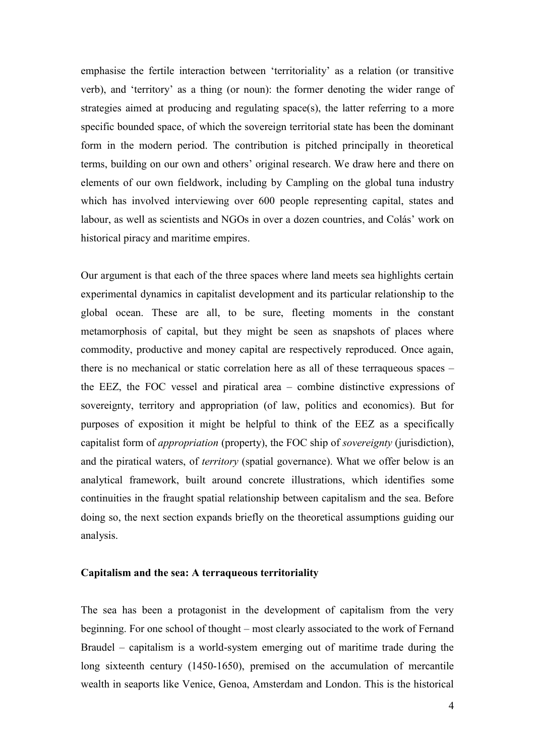emphasise the fertile interaction between 'territoriality' as a relation (or transitive verb), and 'territory' as a thing (or noun): the former denoting the wider range of strategies aimed at producing and regulating space(s), the latter referring to a more specific bounded space, of which the sovereign territorial state has been the dominant form in the modern period. The contribution is pitched principally in theoretical terms, building on our own and others' original research. We draw here and there on elements of our own fieldwork, including by Campling on the global tuna industry which has involved interviewing over 600 people representing capital, states and labour, as well as scientists and NGOs in over a dozen countries, and Colás' work on historical piracy and maritime empires.

Our argument is that each of the three spaces where land meets sea highlights certain experimental dynamics in capitalist development and its particular relationship to the global ocean. These are all, to be sure, fleeting moments in the constant metamorphosis of capital, but they might be seen as snapshots of places where commodity, productive and money capital are respectively reproduced. Once again, there is no mechanical or static correlation here as all of these terraqueous spaces – the EEZ, the FOC vessel and piratical area – combine distinctive expressions of sovereignty, territory and appropriation (of law, politics and economics). But for purposes of exposition it might be helpful to think of the EEZ as a specifically capitalist form of *appropriation* (property), the FOC ship of *sovereignty* (jurisdiction), and the piratical waters, of *territory* (spatial governance). What we offer below is an analytical framework, built around concrete illustrations, which identifies some continuities in the fraught spatial relationship between capitalism and the sea. Before doing so, the next section expands briefly on the theoretical assumptions guiding our analysis.

#### **Capitalism and the sea: A terraqueous territoriality**

The sea has been a protagonist in the development of capitalism from the very beginning. For one school of thought – most clearly associated to the work of Fernand Braudel – capitalism is a world-system emerging out of maritime trade during the long sixteenth century (1450-1650), premised on the accumulation of mercantile wealth in seaports like Venice, Genoa, Amsterdam and London. This is the historical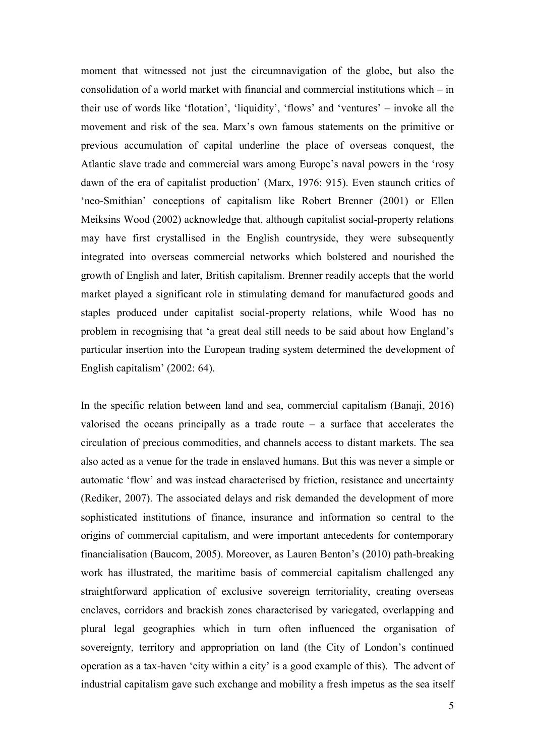moment that witnessed not just the circumnavigation of the globe, but also the consolidation of a world market with financial and commercial institutions which – in their use of words like 'flotation', 'liquidity', 'flows' and 'ventures' – invoke all the movement and risk of the sea. Marx's own famous statements on the primitive or previous accumulation of capital underline the place of overseas conquest, the Atlantic slave trade and commercial wars among Europe's naval powers in the 'rosy dawn of the era of capitalist production' (Marx, 1976: 915). Even staunch critics of 'neo-Smithian' conceptions of capitalism like Robert Brenner (2001) or Ellen Meiksins Wood (2002) acknowledge that, although capitalist social-property relations may have first crystallised in the English countryside, they were subsequently integrated into overseas commercial networks which bolstered and nourished the growth of English and later, British capitalism. Brenner readily accepts that the world market played a significant role in stimulating demand for manufactured goods and staples produced under capitalist social-property relations, while Wood has no problem in recognising that 'a great deal still needs to be said about how England's particular insertion into the European trading system determined the development of English capitalism' (2002: 64).

In the specific relation between land and sea, commercial capitalism (Banaji, 2016) valorised the oceans principally as a trade route  $-$  a surface that accelerates the circulation of precious commodities, and channels access to distant markets. The sea also acted as a venue for the trade in enslaved humans. But this was never a simple or automatic 'flow' and was instead characterised by friction, resistance and uncertainty (Rediker, 2007). The associated delays and risk demanded the development of more sophisticated institutions of finance, insurance and information so central to the origins of commercial capitalism, and were important antecedents for contemporary financialisation (Baucom, 2005). Moreover, as Lauren Benton's (2010) path-breaking work has illustrated, the maritime basis of commercial capitalism challenged any straightforward application of exclusive sovereign territoriality, creating overseas enclaves, corridors and brackish zones characterised by variegated, overlapping and plural legal geographies which in turn often influenced the organisation of sovereignty, territory and appropriation on land (the City of London's continued operation as a tax-haven 'city within a city' is a good example of this). The advent of industrial capitalism gave such exchange and mobility a fresh impetus as the sea itself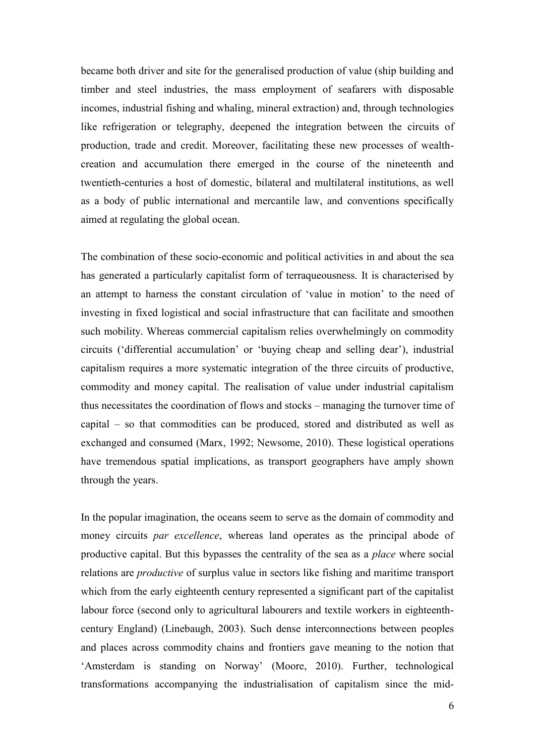became both driver and site for the generalised production of value (ship building and timber and steel industries, the mass employment of seafarers with disposable incomes, industrial fishing and whaling, mineral extraction) and, through technologies like refrigeration or telegraphy, deepened the integration between the circuits of production, trade and credit. Moreover, facilitating these new processes of wealthcreation and accumulation there emerged in the course of the nineteenth and twentieth-centuries a host of domestic, bilateral and multilateral institutions, as well as a body of public international and mercantile law, and conventions specifically aimed at regulating the global ocean.

The combination of these socio-economic and political activities in and about the sea has generated a particularly capitalist form of terraqueousness. It is characterised by an attempt to harness the constant circulation of 'value in motion' to the need of investing in fixed logistical and social infrastructure that can facilitate and smoothen such mobility. Whereas commercial capitalism relies overwhelmingly on commodity circuits ('differential accumulation' or 'buying cheap and selling dear'), industrial capitalism requires a more systematic integration of the three circuits of productive, commodity and money capital. The realisation of value under industrial capitalism thus necessitates the coordination of flows and stocks – managing the turnover time of capital – so that commodities can be produced, stored and distributed as well as exchanged and consumed (Marx, 1992; Newsome, 2010). These logistical operations have tremendous spatial implications, as transport geographers have amply shown through the years.

In the popular imagination, the oceans seem to serve as the domain of commodity and money circuits *par excellence*, whereas land operates as the principal abode of productive capital. But this bypasses the centrality of the sea as a *place* where social relations are *productive* of surplus value in sectors like fishing and maritime transport which from the early eighteenth century represented a significant part of the capitalist labour force (second only to agricultural labourers and textile workers in eighteenthcentury England) (Linebaugh, 2003). Such dense interconnections between peoples and places across commodity chains and frontiers gave meaning to the notion that 'Amsterdam is standing on Norway' (Moore, 2010). Further, technological transformations accompanying the industrialisation of capitalism since the mid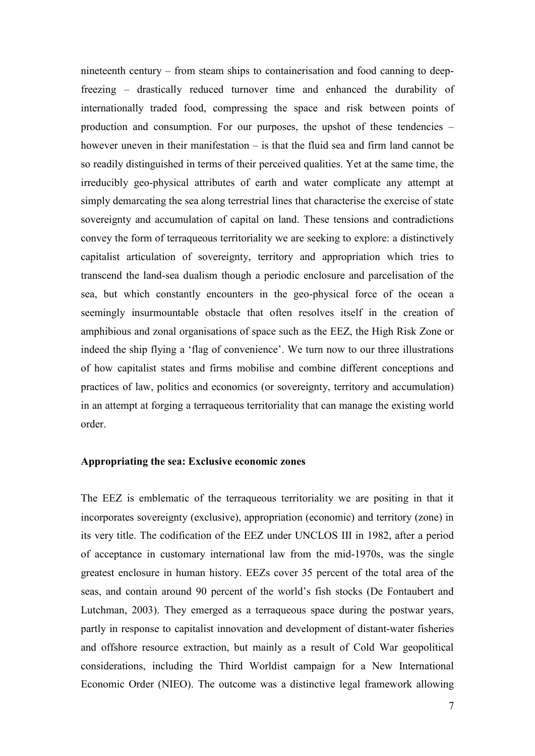nineteenth century – from steam ships to containerisation and food canning to deepfreezing – drastically reduced turnover time and enhanced the durability of internationally traded food, compressing the space and risk between points of production and consumption. For our purposes, the upshot of these tendencies – however uneven in their manifestation – is that the fluid sea and firm land cannot be so readily distinguished in terms of their perceived qualities. Yet at the same time, the irreducibly geo-physical attributes of earth and water complicate any attempt at simply demarcating the sea along terrestrial lines that characterise the exercise of state sovereignty and accumulation of capital on land. These tensions and contradictions convey the form of terraqueous territoriality we are seeking to explore: a distinctively capitalist articulation of sovereignty, territory and appropriation which tries to transcend the land-sea dualism though a periodic enclosure and parcelisation of the sea, but which constantly encounters in the geo-physical force of the ocean a seemingly insurmountable obstacle that often resolves itself in the creation of amphibious and zonal organisations of space such as the EEZ, the High Risk Zone or indeed the ship flying a 'flag of convenience'. We turn now to our three illustrations of how capitalist states and firms mobilise and combine different conceptions and practices of law, politics and economics (or sovereignty, territory and accumulation) in an attempt at forging a terraqueous territoriality that can manage the existing world order.

#### **Appropriating the sea: Exclusive economic zones**

The EEZ is emblematic of the terraqueous territoriality we are positing in that it incorporates sovereignty (exclusive), appropriation (economic) and territory (zone) in its very title. The codification of the EEZ under UNCLOS III in 1982, after a period of acceptance in customary international law from the mid-1970s, was the single greatest enclosure in human history. EEZs cover 35 percent of the total area of the seas, and contain around 90 percent of the world's fish stocks (De Fontaubert and Lutchman, 2003). They emerged as a terraqueous space during the postwar years, partly in response to capitalist innovation and development of distant-water fisheries and offshore resource extraction, but mainly as a result of Cold War geopolitical considerations, including the Third Worldist campaign for a New International Economic Order (NIEO). The outcome was a distinctive legal framework allowing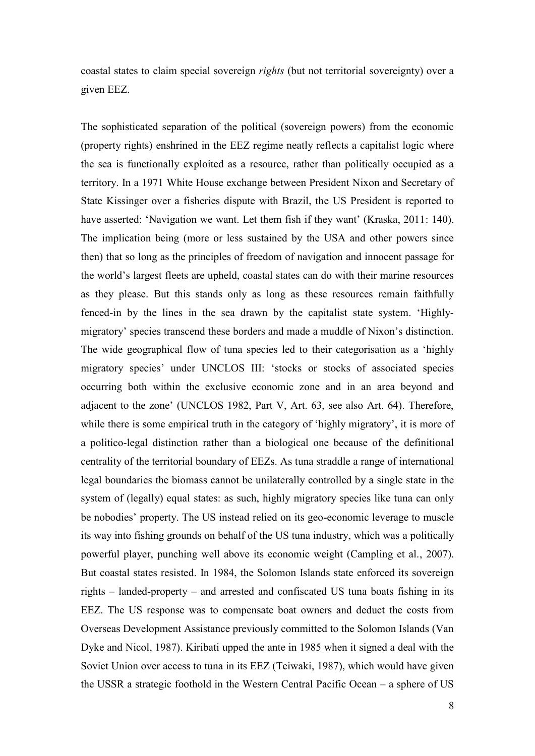coastal states to claim special sovereign *rights* (but not territorial sovereignty) over a given EEZ.

The sophisticated separation of the political (sovereign powers) from the economic (property rights) enshrined in the EEZ regime neatly reflects a capitalist logic where the sea is functionally exploited as a resource, rather than politically occupied as a territory. In a 1971 White House exchange between President Nixon and Secretary of State Kissinger over a fisheries dispute with Brazil, the US President is reported to have asserted: 'Navigation we want. Let them fish if they want' (Kraska, 2011: 140). The implication being (more or less sustained by the USA and other powers since then) that so long as the principles of freedom of navigation and innocent passage for the world's largest fleets are upheld, coastal states can do with their marine resources as they please. But this stands only as long as these resources remain faithfully fenced-in by the lines in the sea drawn by the capitalist state system. 'Highlymigratory' species transcend these borders and made a muddle of Nixon's distinction. The wide geographical flow of tuna species led to their categorisation as a 'highly migratory species' under UNCLOS III: 'stocks or stocks of associated species occurring both within the exclusive economic zone and in an area beyond and adjacent to the zone' (UNCLOS 1982, Part V, Art. 63, see also Art. 64). Therefore, while there is some empirical truth in the category of 'highly migratory', it is more of a politico-legal distinction rather than a biological one because of the definitional centrality of the territorial boundary of EEZs. As tuna straddle a range of international legal boundaries the biomass cannot be unilaterally controlled by a single state in the system of (legally) equal states: as such, highly migratory species like tuna can only be nobodies' property. The US instead relied on its geo-economic leverage to muscle its way into fishing grounds on behalf of the US tuna industry, which was a politically powerful player, punching well above its economic weight (Campling et al., 2007). But coastal states resisted. In 1984, the Solomon Islands state enforced its sovereign rights – landed-property – and arrested and confiscated US tuna boats fishing in its EEZ. The US response was to compensate boat owners and deduct the costs from Overseas Development Assistance previously committed to the Solomon Islands (Van Dyke and Nicol, 1987). Kiribati upped the ante in 1985 when it signed a deal with the Soviet Union over access to tuna in its EEZ (Teiwaki, 1987), which would have given the USSR a strategic foothold in the Western Central Pacific Ocean – a sphere of US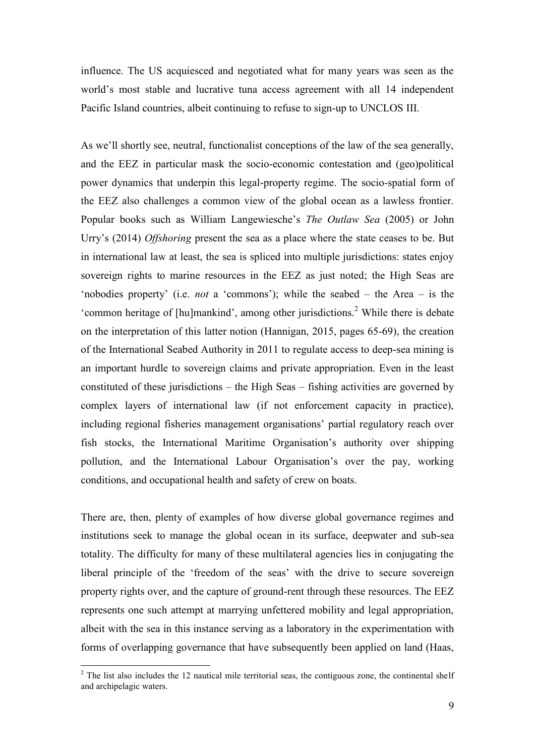influence. The US acquiesced and negotiated what for many years was seen as the world's most stable and lucrative tuna access agreement with all 14 independent Pacific Island countries, albeit continuing to refuse to sign-up to UNCLOS III.

As we'll shortly see, neutral, functionalist conceptions of the law of the sea generally, and the EEZ in particular mask the socio-economic contestation and (geo)political power dynamics that underpin this legal-property regime. The socio-spatial form of the EEZ also challenges a common view of the global ocean as a lawless frontier. Popular books such as William Langewiesche's *The Outlaw Sea* (2005) or John Urry's (2014) *Offshoring* present the sea as a place where the state ceases to be. But in international law at least, the sea is spliced into multiple jurisdictions: states enjoy sovereign rights to marine resources in the EEZ as just noted; the High Seas are 'nobodies property' (i.e. *not* a 'commons'); while the seabed – the Area – is the 'common heritage of [hu]mankind', among other jurisdictions.<sup>2</sup> While there is debate on the interpretation of this latter notion (Hannigan, 2015, pages 65-69), the creation of the International Seabed Authority in 2011 to regulate access to deep-sea mining is an important hurdle to sovereign claims and private appropriation. Even in the least constituted of these jurisdictions – the High Seas – fishing activities are governed by complex layers of international law (if not enforcement capacity in practice), including regional fisheries management organisations' partial regulatory reach over fish stocks, the International Maritime Organisation's authority over shipping pollution, and the International Labour Organisation's over the pay, working conditions, and occupational health and safety of crew on boats.

There are, then, plenty of examples of how diverse global governance regimes and institutions seek to manage the global ocean in its surface, deepwater and sub-sea totality. The difficulty for many of these multilateral agencies lies in conjugating the liberal principle of the 'freedom of the seas' with the drive to secure sovereign property rights over, and the capture of ground-rent through these resources. The EEZ represents one such attempt at marrying unfettered mobility and legal appropriation, albeit with the sea in this instance serving as a laboratory in the experimentation with forms of overlapping governance that have subsequently been applied on land (Haas,

<u>.</u>

<sup>&</sup>lt;sup>2</sup> The list also includes the 12 nautical mile territorial seas, the contiguous zone, the continental shelf and archipelagic waters.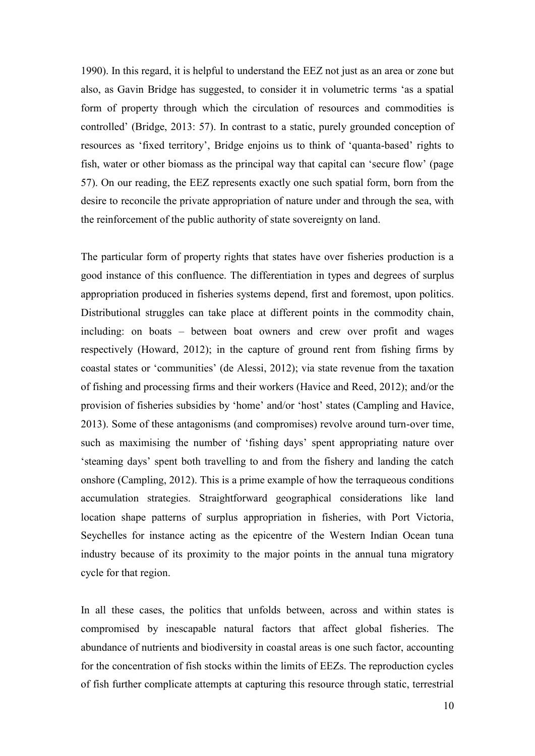1990). In this regard, it is helpful to understand the EEZ not just as an area or zone but also, as Gavin Bridge has suggested, to consider it in volumetric terms 'as a spatial form of property through which the circulation of resources and commodities is controlled' (Bridge, 2013: 57). In contrast to a static, purely grounded conception of resources as 'fixed territory', Bridge enjoins us to think of 'quanta-based' rights to fish, water or other biomass as the principal way that capital can 'secure flow' (page 57). On our reading, the EEZ represents exactly one such spatial form, born from the desire to reconcile the private appropriation of nature under and through the sea, with the reinforcement of the public authority of state sovereignty on land.

The particular form of property rights that states have over fisheries production is a good instance of this confluence. The differentiation in types and degrees of surplus appropriation produced in fisheries systems depend, first and foremost, upon politics. Distributional struggles can take place at different points in the commodity chain, including: on boats – between boat owners and crew over profit and wages respectively (Howard, 2012); in the capture of ground rent from fishing firms by coastal states or 'communities' (de Alessi, 2012); via state revenue from the taxation of fishing and processing firms and their workers (Havice and Reed, 2012); and/or the provision of fisheries subsidies by 'home' and/or 'host' states (Campling and Havice, 2013). Some of these antagonisms (and compromises) revolve around turn-over time, such as maximising the number of 'fishing days' spent appropriating nature over 'steaming days' spent both travelling to and from the fishery and landing the catch onshore (Campling, 2012). This is a prime example of how the terraqueous conditions accumulation strategies. Straightforward geographical considerations like land location shape patterns of surplus appropriation in fisheries, with Port Victoria, Seychelles for instance acting as the epicentre of the Western Indian Ocean tuna industry because of its proximity to the major points in the annual tuna migratory cycle for that region.

In all these cases, the politics that unfolds between, across and within states is compromised by inescapable natural factors that affect global fisheries. The abundance of nutrients and biodiversity in coastal areas is one such factor, accounting for the concentration of fish stocks within the limits of EEZs. The reproduction cycles of fish further complicate attempts at capturing this resource through static, terrestrial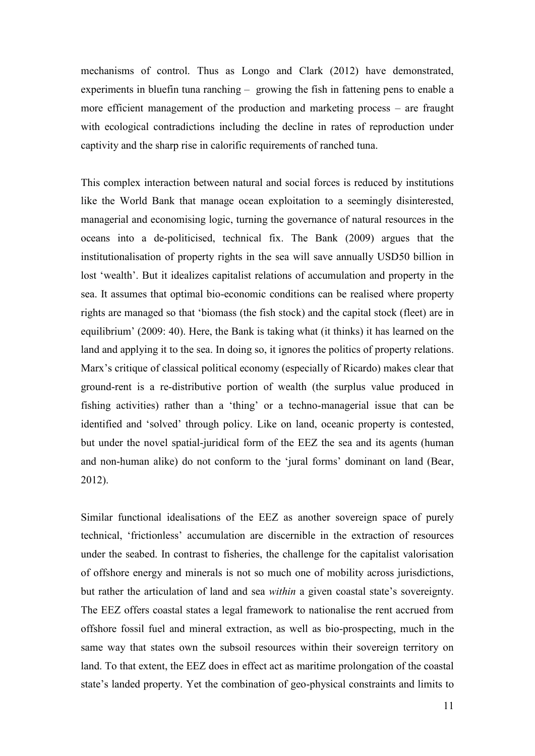mechanisms of control. Thus as Longo and Clark (2012) have demonstrated, experiments in bluefin tuna ranching – growing the fish in fattening pens to enable a more efficient management of the production and marketing process – are fraught with ecological contradictions including the decline in rates of reproduction under captivity and the sharp rise in calorific requirements of ranched tuna.

This complex interaction between natural and social forces is reduced by institutions like the World Bank that manage ocean exploitation to a seemingly disinterested, managerial and economising logic, turning the governance of natural resources in the oceans into a de-politicised, technical fix. The Bank (2009) argues that the institutionalisation of property rights in the sea will save annually USD50 billion in lost 'wealth'. But it idealizes capitalist relations of accumulation and property in the sea. It assumes that optimal bio-economic conditions can be realised where property rights are managed so that 'biomass (the fish stock) and the capital stock (fleet) are in equilibrium' (2009: 40). Here, the Bank is taking what (it thinks) it has learned on the land and applying it to the sea. In doing so, it ignores the politics of property relations. Marx's critique of classical political economy (especially of Ricardo) makes clear that ground-rent is a re-distributive portion of wealth (the surplus value produced in fishing activities) rather than a 'thing' or a techno-managerial issue that can be identified and 'solved' through policy. Like on land, oceanic property is contested, but under the novel spatial-juridical form of the EEZ the sea and its agents (human and non-human alike) do not conform to the 'jural forms' dominant on land (Bear, 2012).

Similar functional idealisations of the EEZ as another sovereign space of purely technical, 'frictionless' accumulation are discernible in the extraction of resources under the seabed. In contrast to fisheries, the challenge for the capitalist valorisation of offshore energy and minerals is not so much one of mobility across jurisdictions, but rather the articulation of land and sea *within* a given coastal state's sovereignty. The EEZ offers coastal states a legal framework to nationalise the rent accrued from offshore fossil fuel and mineral extraction, as well as bio-prospecting, much in the same way that states own the subsoil resources within their sovereign territory on land. To that extent, the EEZ does in effect act as maritime prolongation of the coastal state's landed property. Yet the combination of geo-physical constraints and limits to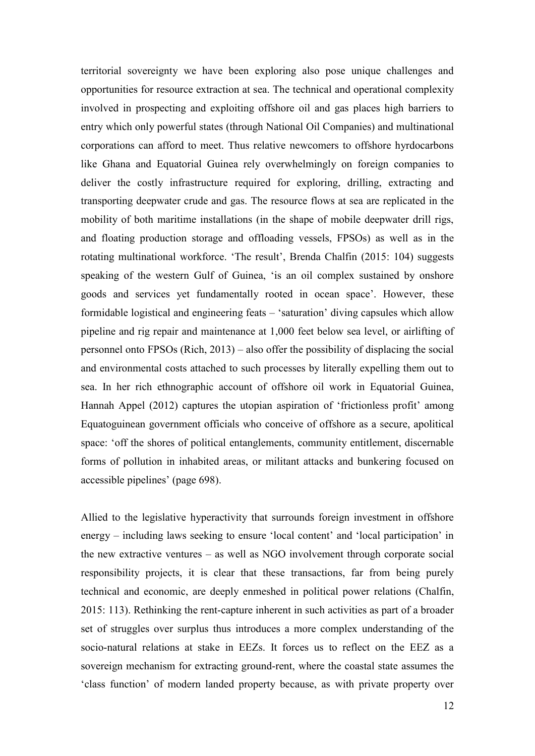territorial sovereignty we have been exploring also pose unique challenges and opportunities for resource extraction at sea. The technical and operational complexity involved in prospecting and exploiting offshore oil and gas places high barriers to entry which only powerful states (through National Oil Companies) and multinational corporations can afford to meet. Thus relative newcomers to offshore hyrdocarbons like Ghana and Equatorial Guinea rely overwhelmingly on foreign companies to deliver the costly infrastructure required for exploring, drilling, extracting and transporting deepwater crude and gas. The resource flows at sea are replicated in the mobility of both maritime installations (in the shape of mobile deepwater drill rigs, and floating production storage and offloading vessels, FPSOs) as well as in the rotating multinational workforce. 'The result', Brenda Chalfin (2015: 104) suggests speaking of the western Gulf of Guinea, 'is an oil complex sustained by onshore goods and services yet fundamentally rooted in ocean space'. However, these formidable logistical and engineering feats – 'saturation' diving capsules which allow pipeline and rig repair and maintenance at 1,000 feet below sea level, or airlifting of personnel onto FPSOs (Rich, 2013) – also offer the possibility of displacing the social and environmental costs attached to such processes by literally expelling them out to sea. In her rich ethnographic account of offshore oil work in Equatorial Guinea, Hannah Appel (2012) captures the utopian aspiration of 'frictionless profit' among Equatoguinean government officials who conceive of offshore as a secure, apolitical space: 'off the shores of political entanglements, community entitlement, discernable forms of pollution in inhabited areas, or militant attacks and bunkering focused on accessible pipelines' (page 698).

Allied to the legislative hyperactivity that surrounds foreign investment in offshore energy – including laws seeking to ensure 'local content' and 'local participation' in the new extractive ventures – as well as NGO involvement through corporate social responsibility projects, it is clear that these transactions, far from being purely technical and economic, are deeply enmeshed in political power relations (Chalfin, 2015: 113). Rethinking the rent-capture inherent in such activities as part of a broader set of struggles over surplus thus introduces a more complex understanding of the socio-natural relations at stake in EEZs. It forces us to reflect on the EEZ as a sovereign mechanism for extracting ground-rent, where the coastal state assumes the 'class function' of modern landed property because, as with private property over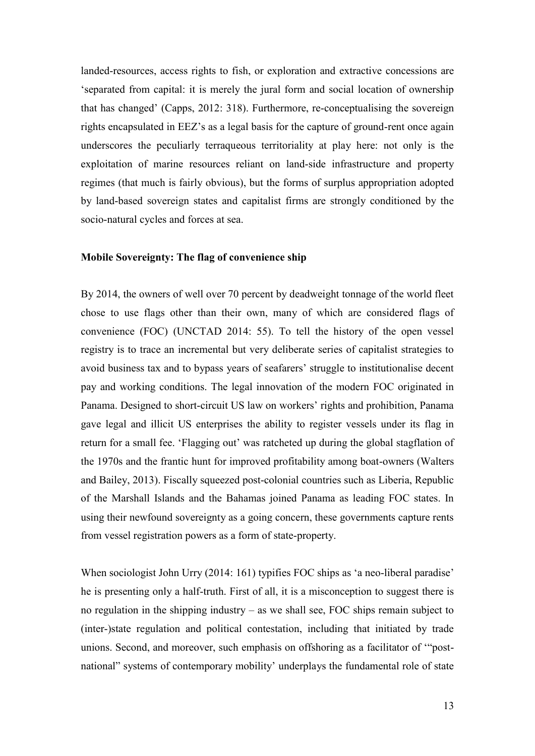landed-resources, access rights to fish, or exploration and extractive concessions are 'separated from capital: it is merely the jural form and social location of ownership that has changed' (Capps, 2012: 318). Furthermore, re-conceptualising the sovereign rights encapsulated in EEZ's as a legal basis for the capture of ground-rent once again underscores the peculiarly terraqueous territoriality at play here: not only is the exploitation of marine resources reliant on land-side infrastructure and property regimes (that much is fairly obvious), but the forms of surplus appropriation adopted by land-based sovereign states and capitalist firms are strongly conditioned by the socio-natural cycles and forces at sea.

#### **Mobile Sovereignty: The flag of convenience ship**

By 2014, the owners of well over 70 percent by deadweight tonnage of the world fleet chose to use flags other than their own, many of which are considered flags of convenience (FOC) (UNCTAD 2014: 55). To tell the history of the open vessel registry is to trace an incremental but very deliberate series of capitalist strategies to avoid business tax and to bypass years of seafarers' struggle to institutionalise decent pay and working conditions. The legal innovation of the modern FOC originated in Panama. Designed to short-circuit US law on workers' rights and prohibition, Panama gave legal and illicit US enterprises the ability to register vessels under its flag in return for a small fee. 'Flagging out' was ratcheted up during the global stagflation of the 1970s and the frantic hunt for improved profitability among boat-owners (Walters and Bailey, 2013). Fiscally squeezed post-colonial countries such as Liberia, Republic of the Marshall Islands and the Bahamas joined Panama as leading FOC states. In using their newfound sovereignty as a going concern, these governments capture rents from vessel registration powers as a form of state-property.

When sociologist John Urry (2014: 161) typifies FOC ships as 'a neo-liberal paradise' he is presenting only a half-truth. First of all, it is a misconception to suggest there is no regulation in the shipping industry – as we shall see, FOC ships remain subject to (inter-)state regulation and political contestation, including that initiated by trade unions. Second, and moreover, such emphasis on offshoring as a facilitator of '"postnational" systems of contemporary mobility' underplays the fundamental role of state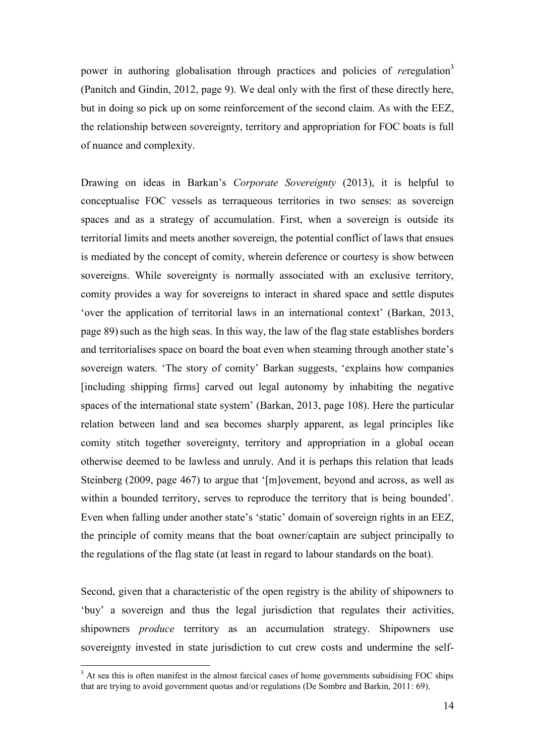power in authoring globalisation through practices and policies of *re*regulation<sup>3</sup> (Panitch and Gindin, 2012, page 9). We deal only with the first of these directly here, but in doing so pick up on some reinforcement of the second claim. As with the EEZ, the relationship between sovereignty, territory and appropriation for FOC boats is full of nuance and complexity.

Drawing on ideas in Barkan's *Corporate Sovereignty* (2013), it is helpful to conceptualise FOC vessels as terraqueous territories in two senses: as sovereign spaces and as a strategy of accumulation. First, when a sovereign is outside its territorial limits and meets another sovereign, the potential conflict of laws that ensues is mediated by the concept of comity, wherein deference or courtesy is show between sovereigns. While sovereignty is normally associated with an exclusive territory, comity provides a way for sovereigns to interact in shared space and settle disputes 'over the application of territorial laws in an international context' (Barkan, 2013, page 89) such as the high seas. In this way, the law of the flag state establishes borders and territorialises space on board the boat even when steaming through another state's sovereign waters. 'The story of comity' Barkan suggests, 'explains how companies [including shipping firms] carved out legal autonomy by inhabiting the negative spaces of the international state system' (Barkan, 2013, page 108). Here the particular relation between land and sea becomes sharply apparent, as legal principles like comity stitch together sovereignty, territory and appropriation in a global ocean otherwise deemed to be lawless and unruly. And it is perhaps this relation that leads Steinberg (2009, page 467) to argue that '[m]ovement, beyond and across, as well as within a bounded territory, serves to reproduce the territory that is being bounded'. Even when falling under another state's 'static' domain of sovereign rights in an EEZ, the principle of comity means that the boat owner/captain are subject principally to the regulations of the flag state (at least in regard to labour standards on the boat).

Second, given that a characteristic of the open registry is the ability of shipowners to 'buy' a sovereign and thus the legal jurisdiction that regulates their activities, shipowners *produce* territory as an accumulation strategy. Shipowners use sovereignty invested in state jurisdiction to cut crew costs and undermine the self-

<u>.</u>

 $3$  At sea this is often manifest in the almost farcical cases of home governments subsidising FOC ships that are trying to avoid government quotas and/or regulations (De Sombre and Barkin, 2011: 69).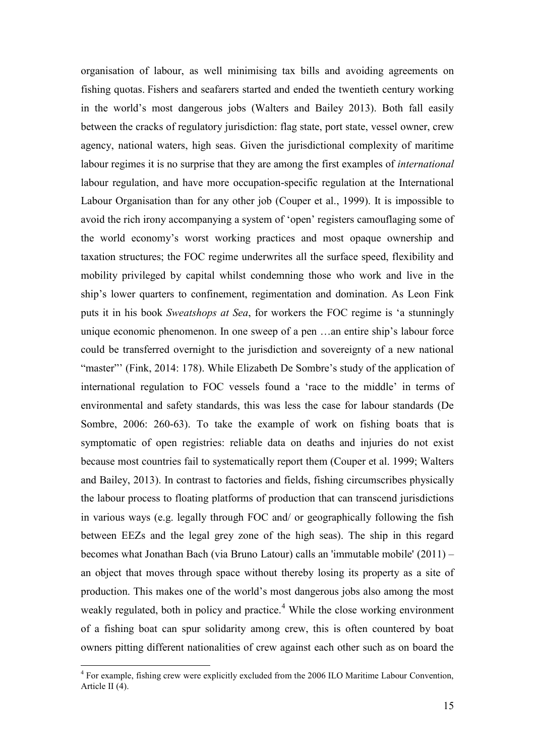organisation of labour, as well minimising tax bills and avoiding agreements on fishing quotas. Fishers and seafarers started and ended the twentieth century working in the world's most dangerous jobs (Walters and Bailey 2013). Both fall easily between the cracks of regulatory jurisdiction: flag state, port state, vessel owner, crew agency, national waters, high seas. Given the jurisdictional complexity of maritime labour regimes it is no surprise that they are among the first examples of *international* labour regulation, and have more occupation-specific regulation at the International Labour Organisation than for any other job (Couper et al., 1999). It is impossible to avoid the rich irony accompanying a system of 'open' registers camouflaging some of the world economy's worst working practices and most opaque ownership and taxation structures; the FOC regime underwrites all the surface speed, flexibility and mobility privileged by capital whilst condemning those who work and live in the ship's lower quarters to confinement, regimentation and domination. As Leon Fink puts it in his book *Sweatshops at Sea*, for workers the FOC regime is 'a stunningly unique economic phenomenon. In one sweep of a pen …an entire ship's labour force could be transferred overnight to the jurisdiction and sovereignty of a new national "master"' (Fink, 2014: 178). While Elizabeth De Sombre's study of the application of international regulation to FOC vessels found a 'race to the middle' in terms of environmental and safety standards, this was less the case for labour standards (De Sombre, 2006: 260-63). To take the example of work on fishing boats that is symptomatic of open registries: reliable data on deaths and injuries do not exist because most countries fail to systematically report them (Couper et al. 1999; Walters and Bailey, 2013). In contrast to factories and fields, fishing circumscribes physically the labour process to floating platforms of production that can transcend jurisdictions in various ways (e.g. legally through FOC and/ or geographically following the fish between EEZs and the legal grey zone of the high seas). The ship in this regard becomes what Jonathan Bach (via Bruno Latour) calls an 'immutable mobile' (2011) – an object that moves through space without thereby losing its property as a site of production. This makes one of the world's most dangerous jobs also among the most weakly regulated, both in policy and practice.<sup>4</sup> While the close working environment of a fishing boat can spur solidarity among crew, this is often countered by boat owners pitting different nationalities of crew against each other such as on board the

<u>.</u>

<sup>&</sup>lt;sup>4</sup> For example, fishing crew were explicitly excluded from the 2006 ILO Maritime Labour Convention, Article II $(4)$ .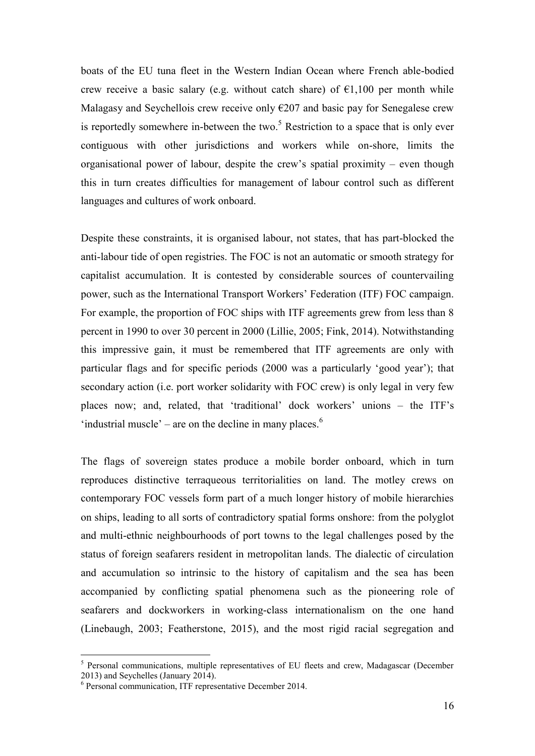boats of the EU tuna fleet in the Western Indian Ocean where French able-bodied crew receive a basic salary (e.g. without catch share) of  $E1,100$  per month while Malagasy and Seychellois crew receive only  $E207$  and basic pay for Senegalese crew is reportedly somewhere in-between the two.<sup>5</sup> Restriction to a space that is only ever contiguous with other jurisdictions and workers while on-shore, limits the organisational power of labour, despite the crew's spatial proximity – even though this in turn creates difficulties for management of labour control such as different languages and cultures of work onboard.

Despite these constraints, it is organised labour, not states, that has part-blocked the anti-labour tide of open registries. The FOC is not an automatic or smooth strategy for capitalist accumulation. It is contested by considerable sources of countervailing power, such as the International Transport Workers' Federation (ITF) FOC campaign. For example, the proportion of FOC ships with ITF agreements grew from less than 8 percent in 1990 to over 30 percent in 2000 (Lillie, 2005; Fink, 2014). Notwithstanding this impressive gain, it must be remembered that ITF agreements are only with particular flags and for specific periods (2000 was a particularly 'good year'); that secondary action (i.e. port worker solidarity with FOC crew) is only legal in very few places now; and, related, that 'traditional' dock workers' unions – the ITF's  $'$ industrial muscle' – are on the decline in many places. $^6$ 

The flags of sovereign states produce a mobile border onboard, which in turn reproduces distinctive terraqueous territorialities on land. The motley crews on contemporary FOC vessels form part of a much longer history of mobile hierarchies on ships, leading to all sorts of contradictory spatial forms onshore: from the polyglot and multi-ethnic neighbourhoods of port towns to the legal challenges posed by the status of foreign seafarers resident in metropolitan lands. The dialectic of circulation and accumulation so intrinsic to the history of capitalism and the sea has been accompanied by conflicting spatial phenomena such as the pioneering role of seafarers and dockworkers in working-class internationalism on the one hand (Linebaugh, 2003; Featherstone, 2015), and the most rigid racial segregation and

<sup>&</sup>lt;sup>5</sup> Personal communications, multiple representatives of EU fleets and crew, Madagascar (December 2013) and Seychelles (January 2014).

<sup>6</sup> Personal communication, ITF representative December 2014.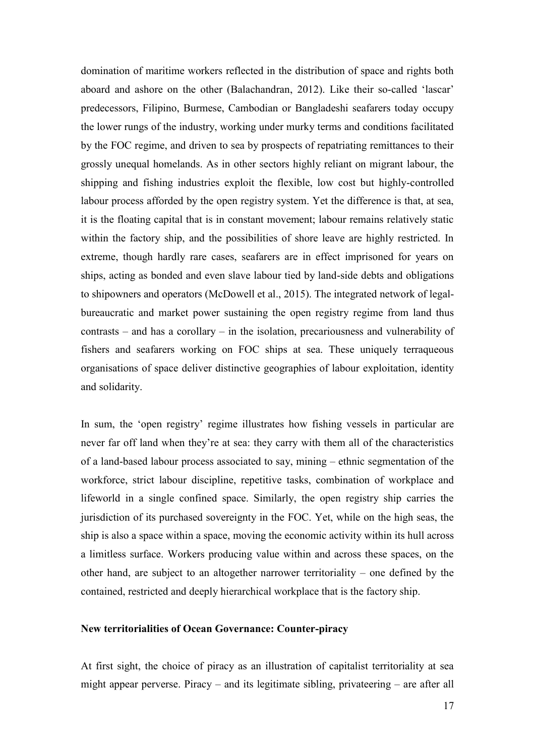domination of maritime workers reflected in the distribution of space and rights both aboard and ashore on the other (Balachandran, 2012). Like their so-called 'lascar' predecessors, Filipino, Burmese, Cambodian or Bangladeshi seafarers today occupy the lower rungs of the industry, working under murky terms and conditions facilitated by the FOC regime, and driven to sea by prospects of repatriating remittances to their grossly unequal homelands. As in other sectors highly reliant on migrant labour, the shipping and fishing industries exploit the flexible, low cost but highly-controlled labour process afforded by the open registry system. Yet the difference is that, at sea, it is the floating capital that is in constant movement; labour remains relatively static within the factory ship, and the possibilities of shore leave are highly restricted. In extreme, though hardly rare cases, seafarers are in effect imprisoned for years on ships, acting as bonded and even slave labour tied by land-side debts and obligations to shipowners and operators (McDowell et al., 2015). The integrated network of legalbureaucratic and market power sustaining the open registry regime from land thus contrasts – and has a corollary – in the isolation, precariousness and vulnerability of fishers and seafarers working on FOC ships at sea. These uniquely terraqueous organisations of space deliver distinctive geographies of labour exploitation, identity and solidarity.

In sum, the 'open registry' regime illustrates how fishing vessels in particular are never far off land when they're at sea: they carry with them all of the characteristics of a land-based labour process associated to say, mining – ethnic segmentation of the workforce, strict labour discipline, repetitive tasks, combination of workplace and lifeworld in a single confined space. Similarly, the open registry ship carries the jurisdiction of its purchased sovereignty in the FOC. Yet, while on the high seas, the ship is also a space within a space, moving the economic activity within its hull across a limitless surface. Workers producing value within and across these spaces, on the other hand, are subject to an altogether narrower territoriality – one defined by the contained, restricted and deeply hierarchical workplace that is the factory ship.

#### **New territorialities of Ocean Governance: Counter-piracy**

At first sight, the choice of piracy as an illustration of capitalist territoriality at sea might appear perverse. Piracy – and its legitimate sibling, privateering – are after all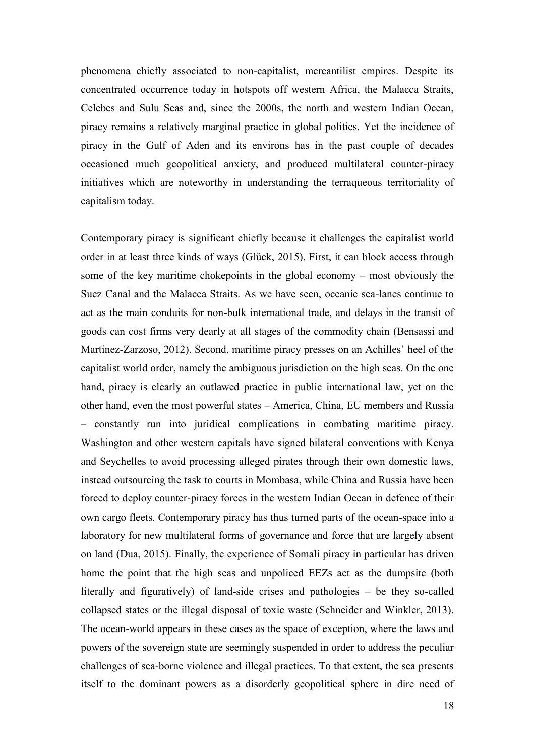phenomena chiefly associated to non-capitalist, mercantilist empires. Despite its concentrated occurrence today in hotspots off western Africa, the Malacca Straits, Celebes and Sulu Seas and, since the 2000s, the north and western Indian Ocean, piracy remains a relatively marginal practice in global politics. Yet the incidence of piracy in the Gulf of Aden and its environs has in the past couple of decades occasioned much geopolitical anxiety, and produced multilateral counter-piracy initiatives which are noteworthy in understanding the terraqueous territoriality of capitalism today.

Contemporary piracy is significant chiefly because it challenges the capitalist world order in at least three kinds of ways (Glück, 2015). First, it can block access through some of the key maritime chokepoints in the global economy – most obviously the Suez Canal and the Malacca Straits. As we have seen, oceanic sea-lanes continue to act as the main conduits for non-bulk international trade, and delays in the transit of goods can cost firms very dearly at all stages of the commodity chain (Bensassi and Martínez-Zarzoso, 2012). Second, maritime piracy presses on an Achilles' heel of the capitalist world order, namely the ambiguous jurisdiction on the high seas. On the one hand, piracy is clearly an outlawed practice in public international law, yet on the other hand, even the most powerful states – America, China, EU members and Russia – constantly run into juridical complications in combating maritime piracy. Washington and other western capitals have signed bilateral conventions with Kenya and Seychelles to avoid processing alleged pirates through their own domestic laws, instead outsourcing the task to courts in Mombasa, while China and Russia have been forced to deploy counter-piracy forces in the western Indian Ocean in defence of their own cargo fleets. Contemporary piracy has thus turned parts of the ocean-space into a laboratory for new multilateral forms of governance and force that are largely absent on land (Dua, 2015). Finally, the experience of Somali piracy in particular has driven home the point that the high seas and unpoliced EEZs act as the dumpsite (both literally and figuratively) of land-side crises and pathologies – be they so-called collapsed states or the illegal disposal of toxic waste (Schneider and Winkler, 2013). The ocean-world appears in these cases as the space of exception, where the laws and powers of the sovereign state are seemingly suspended in order to address the peculiar challenges of sea-borne violence and illegal practices. To that extent, the sea presents itself to the dominant powers as a disorderly geopolitical sphere in dire need of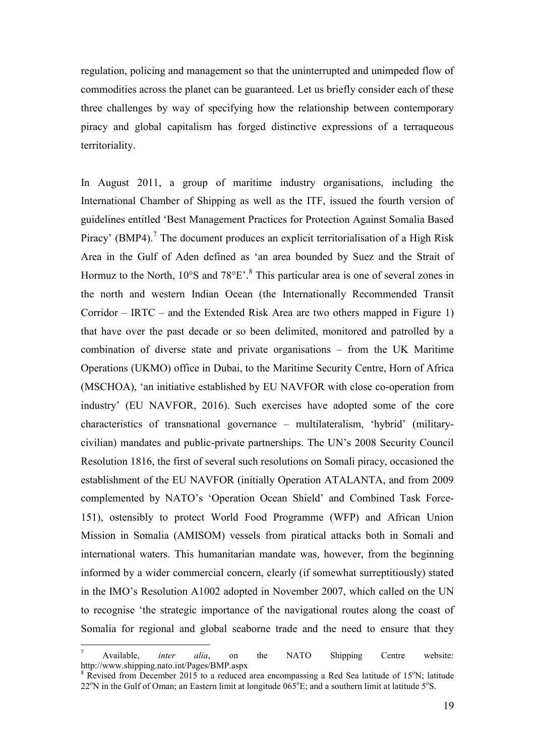regulation, policing and management so that the uninterrupted and unimpeded flow of commodities across the planet can be guaranteed. Let us briefly consider each of these three challenges by way of specifying how the relationship between contemporary piracy and global capitalism has forged distinctive expressions of a terraqueous territoriality.

In August 2011, a group of maritime industry organisations, including the International Chamber of Shipping as well as the ITF, issued the fourth version of guidelines entitled 'Best Management Practices for Protection Against Somalia Based Piracy' (BMP4).<sup>7</sup> The document produces an explicit territorialisation of a High Risk Area in the Gulf of Aden defined as 'an area bounded by Suez and the Strait of Hormuz to the North,  $10^{\circ}$ S and  $78^{\circ}$ E'.<sup>8</sup> This particular area is one of several zones in the north and western Indian Ocean (the Internationally Recommended Transit Corridor – IRTC – and the Extended Risk Area are two others mapped in Figure 1) that have over the past decade or so been delimited, monitored and patrolled by a combination of diverse state and private organisations – from the UK Maritime Operations (UKMO) office in Dubai, to the Maritime Security Centre, Horn of Africa (MSCHOA), 'an initiative established by EU NAVFOR with close co-operation from industry' (EU NAVFOR, 2016). Such exercises have adopted some of the core characteristics of transnational governance – multilateralism, 'hybrid' (militarycivilian) mandates and public-private partnerships. The UN's 2008 Security Council Resolution 1816, the first of several such resolutions on Somali piracy, occasioned the establishment of the EU NAVFOR (initially Operation ATALANTA, and from 2009 complemented by NATO's 'Operation Ocean Shield' and Combined Task Force-151), ostensibly to protect World Food Programme (WFP) and African Union Mission in Somalia (AMISOM) vessels from piratical attacks both in Somali and international waters. This humanitarian mandate was, however, from the beginning informed by a wider commercial concern, clearly (if somewhat surreptitiously) stated in the IMO's Resolution A1002 adopted in November 2007, which called on the UN to recognise 'the strategic importance of the navigational routes along the coast of Somalia for regional and global seaborne trade and the need to ensure that they

1

<sup>7</sup> Available, *inter alia*, on the NATO Shipping Centre website: http://www.shipping.nato.int/Pages/BMP.aspx

 $8$  Revised from December 2015 to a reduced area encompassing a Red Sea latitude of 15 $\degree$ N; latitude  $22^{\circ}$ N in the Gulf of Oman; an Eastern limit at longitude  $065^{\circ}$ E; and a southern limit at latitude 5°S.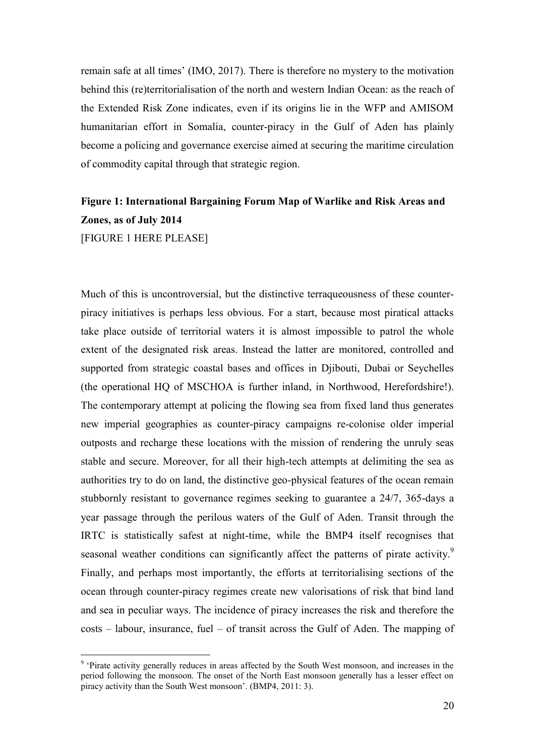remain safe at all times' (IMO, 2017). There is therefore no mystery to the motivation behind this (re)territorialisation of the north and western Indian Ocean: as the reach of the Extended Risk Zone indicates, even if its origins lie in the WFP and AMISOM humanitarian effort in Somalia, counter-piracy in the Gulf of Aden has plainly become a policing and governance exercise aimed at securing the maritime circulation of commodity capital through that strategic region.

## **Figure 1: International Bargaining Forum Map of Warlike and Risk Areas and Zones, as of July 2014**

[FIGURE 1 HERE PLEASE]

<u>.</u>

Much of this is uncontroversial, but the distinctive terraqueousness of these counterpiracy initiatives is perhaps less obvious. For a start, because most piratical attacks take place outside of territorial waters it is almost impossible to patrol the whole extent of the designated risk areas. Instead the latter are monitored, controlled and supported from strategic coastal bases and offices in Djibouti, Dubai or Seychelles (the operational HQ of MSCHOA is further inland, in Northwood, Herefordshire!). The contemporary attempt at policing the flowing sea from fixed land thus generates new imperial geographies as counter-piracy campaigns re-colonise older imperial outposts and recharge these locations with the mission of rendering the unruly seas stable and secure. Moreover, for all their high-tech attempts at delimiting the sea as authorities try to do on land, the distinctive geo-physical features of the ocean remain stubbornly resistant to governance regimes seeking to guarantee a 24/7, 365-days a year passage through the perilous waters of the Gulf of Aden. Transit through the IRTC is statistically safest at night-time, while the BMP4 itself recognises that seasonal weather conditions can significantly affect the patterns of pirate activity.<sup>9</sup> Finally, and perhaps most importantly, the efforts at territorialising sections of the ocean through counter-piracy regimes create new valorisations of risk that bind land and sea in peculiar ways. The incidence of piracy increases the risk and therefore the costs – labour, insurance, fuel – of transit across the Gulf of Aden. The mapping of

<sup>&</sup>lt;sup>9</sup> 'Pirate activity generally reduces in areas affected by the South West monsoon, and increases in the period following the monsoon. The onset of the North East monsoon generally has a lesser effect on piracy activity than the South West monsoon'. (BMP4, 2011: 3).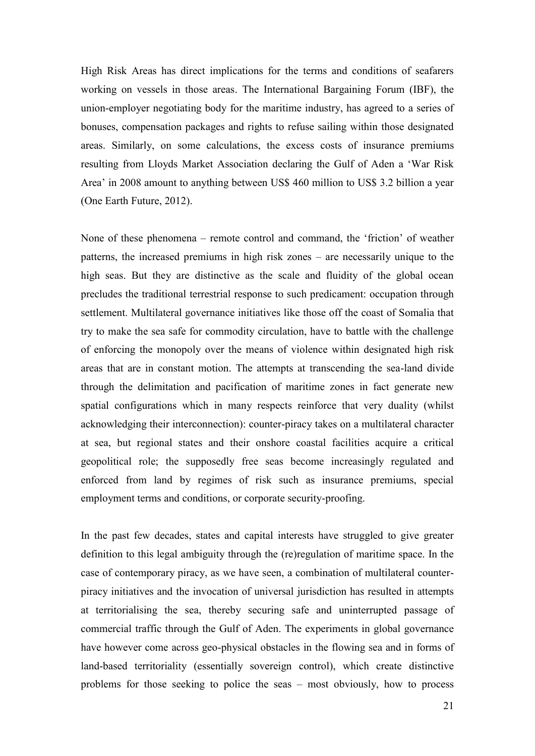High Risk Areas has direct implications for the terms and conditions of seafarers working on vessels in those areas. The International Bargaining Forum (IBF), the union-employer negotiating body for the maritime industry, has agreed to a series of bonuses, compensation packages and rights to refuse sailing within those designated areas. Similarly, on some calculations, the excess costs of insurance premiums resulting from Lloyds Market Association declaring the Gulf of Aden a 'War Risk Area' in 2008 amount to anything between US\$ 460 million to US\$ 3.2 billion a year (One Earth Future, 2012).

None of these phenomena – remote control and command, the 'friction' of weather patterns, the increased premiums in high risk zones – are necessarily unique to the high seas. But they are distinctive as the scale and fluidity of the global ocean precludes the traditional terrestrial response to such predicament: occupation through settlement. Multilateral governance initiatives like those off the coast of Somalia that try to make the sea safe for commodity circulation, have to battle with the challenge of enforcing the monopoly over the means of violence within designated high risk areas that are in constant motion. The attempts at transcending the sea-land divide through the delimitation and pacification of maritime zones in fact generate new spatial configurations which in many respects reinforce that very duality (whilst acknowledging their interconnection): counter-piracy takes on a multilateral character at sea, but regional states and their onshore coastal facilities acquire a critical geopolitical role; the supposedly free seas become increasingly regulated and enforced from land by regimes of risk such as insurance premiums, special employment terms and conditions, or corporate security-proofing.

In the past few decades, states and capital interests have struggled to give greater definition to this legal ambiguity through the (re)regulation of maritime space. In the case of contemporary piracy, as we have seen, a combination of multilateral counterpiracy initiatives and the invocation of universal jurisdiction has resulted in attempts at territorialising the sea, thereby securing safe and uninterrupted passage of commercial traffic through the Gulf of Aden. The experiments in global governance have however come across geo-physical obstacles in the flowing sea and in forms of land-based territoriality (essentially sovereign control), which create distinctive problems for those seeking to police the seas – most obviously, how to process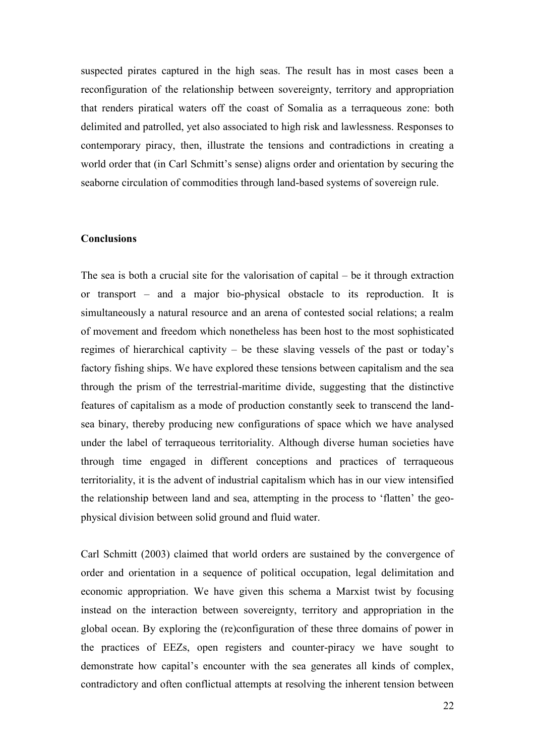suspected pirates captured in the high seas. The result has in most cases been a reconfiguration of the relationship between sovereignty, territory and appropriation that renders piratical waters off the coast of Somalia as a terraqueous zone: both delimited and patrolled, yet also associated to high risk and lawlessness. Responses to contemporary piracy, then, illustrate the tensions and contradictions in creating a world order that (in Carl Schmitt's sense) aligns order and orientation by securing the seaborne circulation of commodities through land-based systems of sovereign rule.

#### **Conclusions**

The sea is both a crucial site for the valorisation of capital – be it through extraction or transport – and a major bio-physical obstacle to its reproduction. It is simultaneously a natural resource and an arena of contested social relations; a realm of movement and freedom which nonetheless has been host to the most sophisticated regimes of hierarchical captivity – be these slaving vessels of the past or today's factory fishing ships. We have explored these tensions between capitalism and the sea through the prism of the terrestrial-maritime divide, suggesting that the distinctive features of capitalism as a mode of production constantly seek to transcend the landsea binary, thereby producing new configurations of space which we have analysed under the label of terraqueous territoriality. Although diverse human societies have through time engaged in different conceptions and practices of terraqueous territoriality, it is the advent of industrial capitalism which has in our view intensified the relationship between land and sea, attempting in the process to 'flatten' the geophysical division between solid ground and fluid water.

Carl Schmitt (2003) claimed that world orders are sustained by the convergence of order and orientation in a sequence of political occupation, legal delimitation and economic appropriation. We have given this schema a Marxist twist by focusing instead on the interaction between sovereignty, territory and appropriation in the global ocean. By exploring the (re)configuration of these three domains of power in the practices of EEZs, open registers and counter-piracy we have sought to demonstrate how capital's encounter with the sea generates all kinds of complex, contradictory and often conflictual attempts at resolving the inherent tension between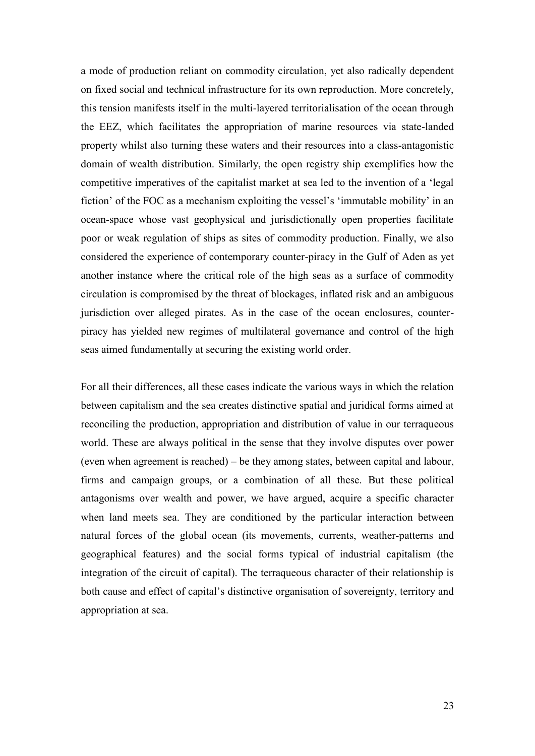a mode of production reliant on commodity circulation, yet also radically dependent on fixed social and technical infrastructure for its own reproduction. More concretely, this tension manifests itself in the multi-layered territorialisation of the ocean through the EEZ, which facilitates the appropriation of marine resources via state-landed property whilst also turning these waters and their resources into a class-antagonistic domain of wealth distribution. Similarly, the open registry ship exemplifies how the competitive imperatives of the capitalist market at sea led to the invention of a 'legal fiction' of the FOC as a mechanism exploiting the vessel's 'immutable mobility' in an ocean-space whose vast geophysical and jurisdictionally open properties facilitate poor or weak regulation of ships as sites of commodity production. Finally, we also considered the experience of contemporary counter-piracy in the Gulf of Aden as yet another instance where the critical role of the high seas as a surface of commodity circulation is compromised by the threat of blockages, inflated risk and an ambiguous jurisdiction over alleged pirates. As in the case of the ocean enclosures, counterpiracy has yielded new regimes of multilateral governance and control of the high seas aimed fundamentally at securing the existing world order.

For all their differences, all these cases indicate the various ways in which the relation between capitalism and the sea creates distinctive spatial and juridical forms aimed at reconciling the production, appropriation and distribution of value in our terraqueous world. These are always political in the sense that they involve disputes over power (even when agreement is reached) – be they among states, between capital and labour, firms and campaign groups, or a combination of all these. But these political antagonisms over wealth and power, we have argued, acquire a specific character when land meets sea. They are conditioned by the particular interaction between natural forces of the global ocean (its movements, currents, weather-patterns and geographical features) and the social forms typical of industrial capitalism (the integration of the circuit of capital). The terraqueous character of their relationship is both cause and effect of capital's distinctive organisation of sovereignty, territory and appropriation at sea.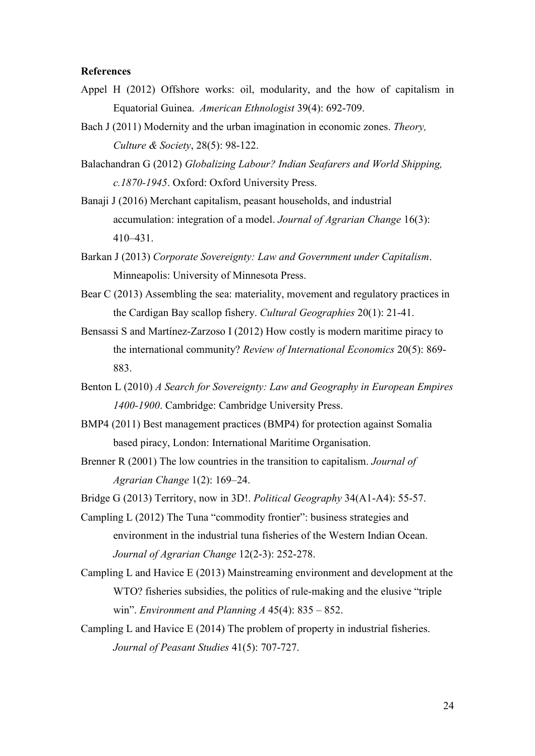#### **References**

- Appel H (2012) Offshore works: oil, modularity, and the how of capitalism in Equatorial Guinea. *American Ethnologist* 39(4): 692-709.
- Bach J (2011) Modernity and the urban imagination in economic zones. *Theory, Culture & Society*, 28(5): 98-122.

Balachandran G (2012) *Globalizing Labour? Indian Seafarers and World Shipping, c.1870-1945*. Oxford: Oxford University Press.

Banaji J (2016) Merchant capitalism, peasant households, and industrial accumulation: integration of a model. *Journal of Agrarian Change* 16(3): 410–431.

- Barkan J (2013) *Corporate Sovereignty: Law and Government under Capitalism*. Minneapolis: University of Minnesota Press.
- Bear C (2013) Assembling the sea: materiality, movement and regulatory practices in the Cardigan Bay scallop fishery. *Cultural Geographies* 20(1): 21-41.
- Bensassi S and Martínez-Zarzoso I (2012) How costly is modern maritime piracy to the international community? *Review of International Economics* 20(5): 869- 883.
- Benton L (2010) *A Search for Sovereignty: Law and Geography in European Empires 1400-1900*. Cambridge: Cambridge University Press.
- BMP4 (2011) Best management practices (BMP4) for protection against Somalia based piracy, London: International Maritime Organisation.
- Brenner R (2001) The low countries in the transition to capitalism. *Journal of Agrarian Change* 1(2): 169–24.

Bridge G (2013) Territory, now in 3D!. *Political Geography* 34(A1-A4): 55-57.

- Campling L (2012) The Tuna "commodity frontier": business strategies and environment in the industrial tuna fisheries of the Western Indian Ocean. *Journal of Agrarian Change* 12(2-3): 252-278.
- Campling L and Havice E (2013) Mainstreaming environment and development at the WTO? fisheries subsidies, the politics of rule-making and the elusive "triple win". *Environment and Planning A* 45(4): 835 – 852.
- Campling L and Havice E (2014) The problem of property in industrial fisheries. *Journal of Peasant Studies* 41(5): 707-727.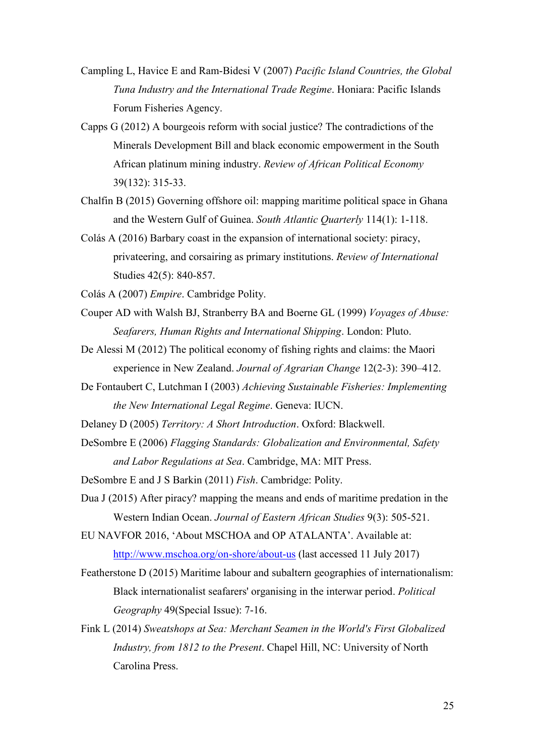- Campling L, Havice E and Ram-Bidesi V (2007) *Pacific Island Countries, the Global Tuna Industry and the International Trade Regime*. Honiara: Pacific Islands Forum Fisheries Agency.
- Capps G (2012) A bourgeois reform with social justice? The contradictions of the Minerals Development Bill and black economic empowerment in the South African platinum mining industry. *Review of African Political Economy* 39(132): 315-33.
- Chalfin B (2015) Governing offshore oil: mapping maritime political space in Ghana and the Western Gulf of Guinea. *South Atlantic Quarterly* 114(1): 1-118.
- Colás A (2016) Barbary coast in the expansion of international society: piracy, privateering, and corsairing as primary institutions. *Review of International* Studies 42(5): 840-857.
- Colás A (2007) *Empire*. Cambridge Polity.
- Couper AD with Walsh BJ, Stranberry BA and Boerne GL (1999) *Voyages of Abuse: Seafarers, Human Rights and International Shipping*. London: Pluto.
- De Alessi M (2012) The political economy of fishing rights and claims: the Maori experience in New Zealand. *Journal of Agrarian Change* 12(2-3): 390–412.
- De Fontaubert C, Lutchman I (2003) *Achieving Sustainable Fisheries: Implementing the New International Legal Regime*. Geneva: IUCN.

Delaney D (2005) *Territory: A Short Introduction*. Oxford: Blackwell.

DeSombre E (2006) *Flagging Standards: Globalization and Environmental, Safety and Labor Regulations at Sea*. Cambridge, MA: MIT Press.

DeSombre E and J S Barkin (2011) *Fish*. Cambridge: Polity.

- Dua J (2015) After piracy? mapping the means and ends of maritime predation in the Western Indian Ocean. *Journal of Eastern African Studies* 9(3): 505-521.
- EU NAVFOR 2016, 'About MSCHOA and OP ATALANTA'. Available at: <http://www.mschoa.org/on-shore/about-us> (last accessed 11 July 2017)
- Featherstone D (2015) Maritime labour and subaltern geographies of internationalism: Black internationalist seafarers' organising in the interwar period. *Political Geography* 49(Special Issue): 7-16.
- Fink L (2014) *Sweatshops at Sea: Merchant Seamen in the World's First Globalized Industry, from 1812 to the Present*. Chapel Hill, NC: University of North Carolina Press.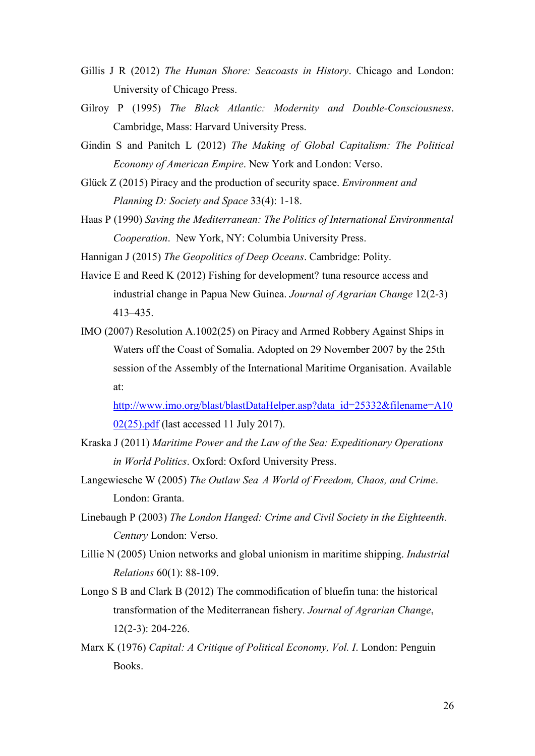- Gillis J R (2012) *The Human Shore: Seacoasts in History*. Chicago and London: University of Chicago Press.
- Gilroy P (1995) *The Black Atlantic: Modernity and Double-Consciousness*. Cambridge, Mass: Harvard University Press.
- Gindin S and Panitch L (2012) *The Making of Global Capitalism: The Political Economy of American Empire*. New York and London: Verso.
- Glück Z (2015) Piracy and the production of security space. *Environment and Planning D: Society and Space* 33(4): 1-18.
- Haas P (1990) *Saving the Mediterranean: The Politics of International Environmental Cooperation*. New York, NY: Columbia University Press.
- Hannigan J (2015) *The Geopolitics of Deep Oceans*. Cambridge: Polity.
- Havice E and Reed K (2012) Fishing for development? tuna resource access and industrial change in Papua New Guinea. *Journal of Agrarian Change* 12(2-3) 413–435.
- IMO (2007) Resolution A.1002(25) on Piracy and Armed Robbery Against Ships in Waters off the Coast of Somalia. Adopted on 29 November 2007 by the 25th session of the Assembly of the International Maritime Organisation. Available at:

[http://www.imo.org/blast/blastDataHelper.asp?data\\_id=25332&filename=A10](http://www.imo.org/blast/blastDataHelper.asp?data_id=25332&filename=A1002(25).pdf) [02\(25\).pdf](http://www.imo.org/blast/blastDataHelper.asp?data_id=25332&filename=A1002(25).pdf) (last accessed 11 July 2017).

- Kraska J (2011) *Maritime Power and the Law of the Sea: Expeditionary Operations in World Politics*. Oxford: Oxford University Press.
- Langewiesche W (2005) *The Outlaw Sea A World of Freedom, Chaos, and Crime*. London: Granta.
- Linebaugh P (2003) *The London Hanged: Crime and Civil Society in the Eighteenth. Century* London: Verso.
- Lillie N (2005) Union networks and global unionism in maritime shipping. *Industrial Relations* 60(1): 88-109.
- Longo S B and Clark B (2012) The commodification of bluefin tuna: the historical transformation of the Mediterranean fishery. *Journal of Agrarian Change*, 12(2-3): 204-226.
- Marx K (1976) *Capital: A Critique of Political Economy, Vol. I*. London: Penguin Books.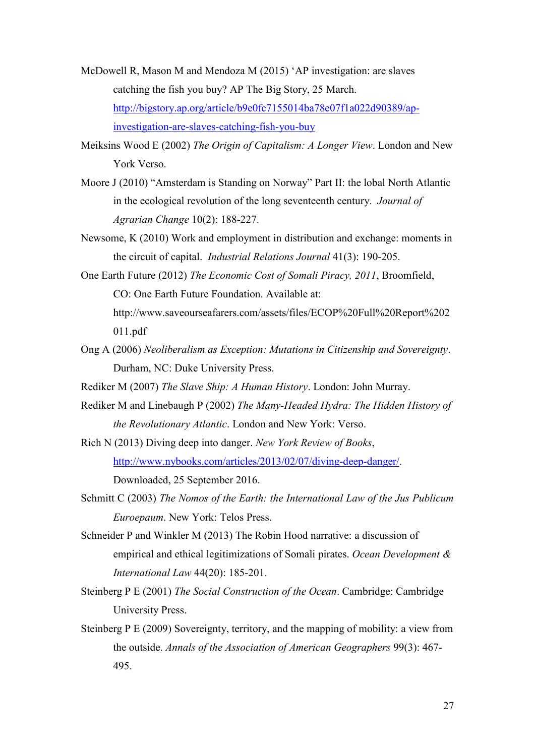McDowell R, Mason M and Mendoza M (2015) 'AP investigation: are slaves catching the fish you buy? AP The Big Story, 25 March. [http://bigstory.ap.org/article/b9e0fc7155014ba78e07f1a022d90389/ap](http://bigstory.ap.org/article/b9e0fc7155014ba78e07f1a022d90389/ap-investigation-are-slaves-catching-fish-you-buy)[investigation-are-slaves-catching-fish-you-buy](http://bigstory.ap.org/article/b9e0fc7155014ba78e07f1a022d90389/ap-investigation-are-slaves-catching-fish-you-buy)

Meiksins Wood E (2002) *The Origin of Capitalism: A Longer View*. London and New York Verso.

- Moore J (2010) "Amsterdam is Standing on Norway" Part II: the lobal North Atlantic in the ecological revolution of the long seventeenth century. *Journal of Agrarian Change* 10(2): 188-227.
- Newsome, K (2010) Work and employment in distribution and exchange: moments in the circuit of capital. *Industrial Relations Journal* 41(3): 190-205.

One Earth Future (2012) *The Economic Cost of Somali Piracy, 2011*, Broomfield, CO: One Earth Future Foundation. Available at: http://www.saveourseafarers.com/assets/files/ECOP%20Full%20Report%202 011.pdf

Ong A (2006) *Neoliberalism as Exception: Mutations in Citizenship and Sovereignty*. Durham, NC: Duke University Press.

Rediker M (2007) *The Slave Ship: A Human History*. London: John Murray.

- Rediker M and Linebaugh P (2002) *The Many-Headed Hydra: The Hidden History of the Revolutionary Atlantic*. London and New York: Verso.
- Rich N (2013) Diving deep into danger. *New York Review of Books*, [http://www.nybooks.com/articles/2013/02/07/diving-deep-danger/.](http://www.nybooks.com/articles/2013/02/07/diving-deep-danger/) Downloaded, 25 September 2016.
- Schmitt C (2003) *The Nomos of the Earth: the International Law of the Jus Publicum Euroepaum*. New York: Telos Press.
- Schneider P and Winkler M (2013) The Robin Hood narrative: a discussion of empirical and ethical legitimizations of Somali pirates. *Ocean Development & International Law* 44(20): 185-201.
- Steinberg P E (2001) *The Social Construction of the Ocean*. Cambridge: Cambridge University Press.
- Steinberg P E (2009) Sovereignty, territory, and the mapping of mobility: a view from the outside. *Annals of the Association of American Geographers* 99(3): 467- 495.